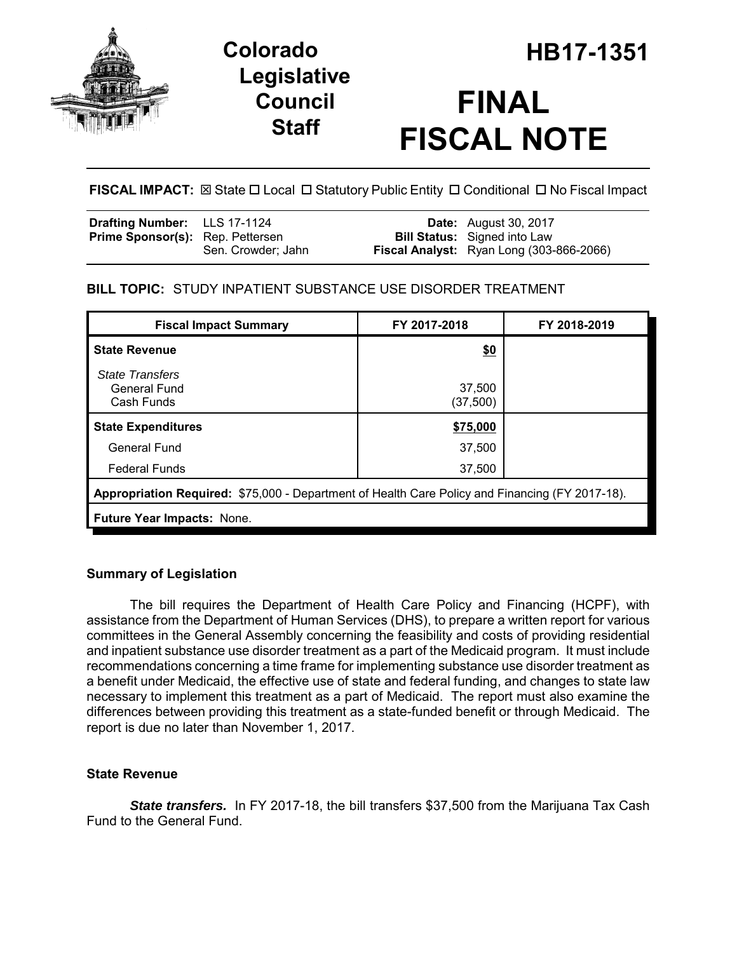



# **FINAL FISCAL NOTE**

# **FISCAL IMPACT:** ⊠ State □ Local □ Statutory Public Entity □ Conditional □ No Fiscal Impact

| Drafting Number: LLS 17-1124            |                    | <b>Date:</b> August 30, 2017             |
|-----------------------------------------|--------------------|------------------------------------------|
| <b>Prime Sponsor(s):</b> Rep. Pettersen |                    | <b>Bill Status:</b> Signed into Law      |
|                                         | Sen. Crowder; Jahn | Fiscal Analyst: Ryan Long (303-866-2066) |

# **BILL TOPIC:** STUDY INPATIENT SUBSTANCE USE DISORDER TREATMENT

| <b>Fiscal Impact Summary</b>                                                                    | FY 2017-2018        | FY 2018-2019 |  |  |
|-------------------------------------------------------------------------------------------------|---------------------|--------------|--|--|
| <b>State Revenue</b>                                                                            | \$0                 |              |  |  |
| <b>State Transfers</b><br><b>General Fund</b><br>Cash Funds                                     | 37,500<br>(37, 500) |              |  |  |
| <b>State Expenditures</b>                                                                       | \$75,000            |              |  |  |
| <b>General Fund</b>                                                                             | 37,500              |              |  |  |
| <b>Federal Funds</b>                                                                            | 37,500              |              |  |  |
| Appropriation Required: \$75,000 - Department of Health Care Policy and Financing (FY 2017-18). |                     |              |  |  |
| Future Year Impacts: None.                                                                      |                     |              |  |  |

# **Summary of Legislation**

The bill requires the Department of Health Care Policy and Financing (HCPF), with assistance from the Department of Human Services (DHS), to prepare a written report for various committees in the General Assembly concerning the feasibility and costs of providing residential and inpatient substance use disorder treatment as a part of the Medicaid program. It must include recommendations concerning a time frame for implementing substance use disorder treatment as a benefit under Medicaid, the effective use of state and federal funding, and changes to state law necessary to implement this treatment as a part of Medicaid. The report must also examine the differences between providing this treatment as a state-funded benefit or through Medicaid. The report is due no later than November 1, 2017.

# **State Revenue**

*State transfers.* In FY 2017-18, the bill transfers \$37,500 from the Marijuana Tax Cash Fund to the General Fund.